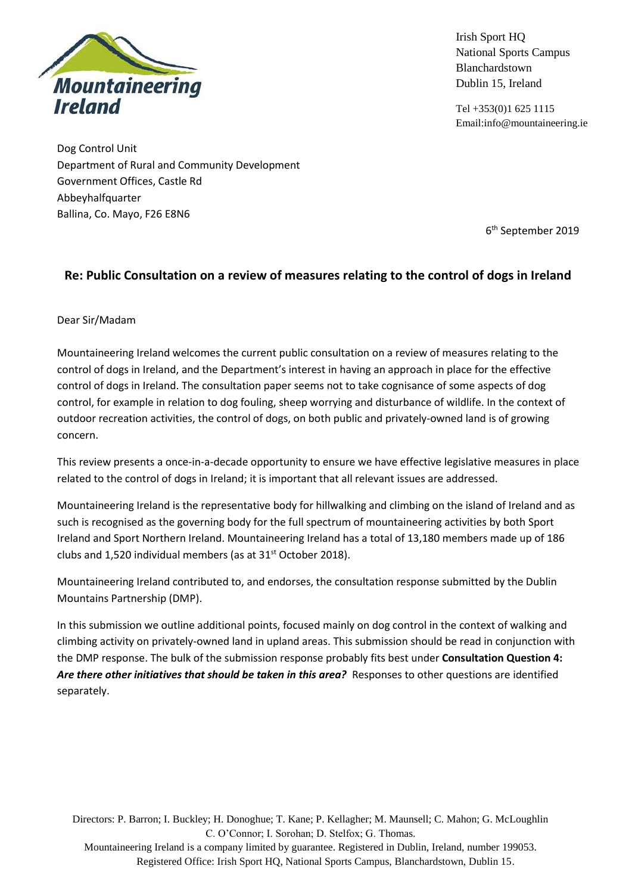

Irish Sport HQ National Sports Campus Blanchardstown Dublin 15, Ireland

Tel +353(0)1 625 1115 Email:info@mountaineering.ie

Dog Control Unit Department of Rural and Community Development Government Offices, Castle Rd Abbeyhalfquarter Ballina, Co. Mayo, F26 E8N6

6 th September 2019

## **Re: Public Consultation on a review of measures relating to the control of dogs in Ireland**

### Dear Sir/Madam

Mountaineering Ireland welcomes the current public consultation on a review of measures relating to the control of dogs in Ireland, and the Department's interest in having an approach in place for the effective control of dogs in Ireland. The consultation paper seems not to take cognisance of some aspects of dog control, for example in relation to dog fouling, sheep worrying and disturbance of wildlife. In the context of outdoor recreation activities, the control of dogs, on both public and privately-owned land is of growing concern.

This review presents a once-in-a-decade opportunity to ensure we have effective legislative measures in place related to the control of dogs in Ireland; it is important that all relevant issues are addressed.

Mountaineering Ireland is the representative body for hillwalking and climbing on the island of Ireland and as such is recognised as the governing body for the full spectrum of mountaineering activities by both Sport Ireland and Sport Northern Ireland. Mountaineering Ireland has a total of 13,180 members made up of 186 clubs and 1,520 individual members (as at 31<sup>st</sup> October 2018).

Mountaineering Ireland contributed to, and endorses, the consultation response submitted by the Dublin Mountains Partnership (DMP).

In this submission we outline additional points, focused mainly on dog control in the context of walking and climbing activity on privately-owned land in upland areas. This submission should be read in conjunction with the DMP response. The bulk of the submission response probably fits best under **Consultation Question 4:** Are there other initiatives that should be taken in this area? Responses to other questions are identified separately.

Directors: P. Barron; I. Buckley; H. Donoghue; T. Kane; P. Kellagher; M. Maunsell; C. Mahon; G. McLoughlin C. O'Connor; I. Sorohan; D. Stelfox; G. Thomas.

Mountaineering Ireland is a company limited by guarantee. Registered in Dublin, Ireland, number 199053. Registered Office: Irish Sport HQ, National Sports Campus, Blanchardstown, Dublin 15.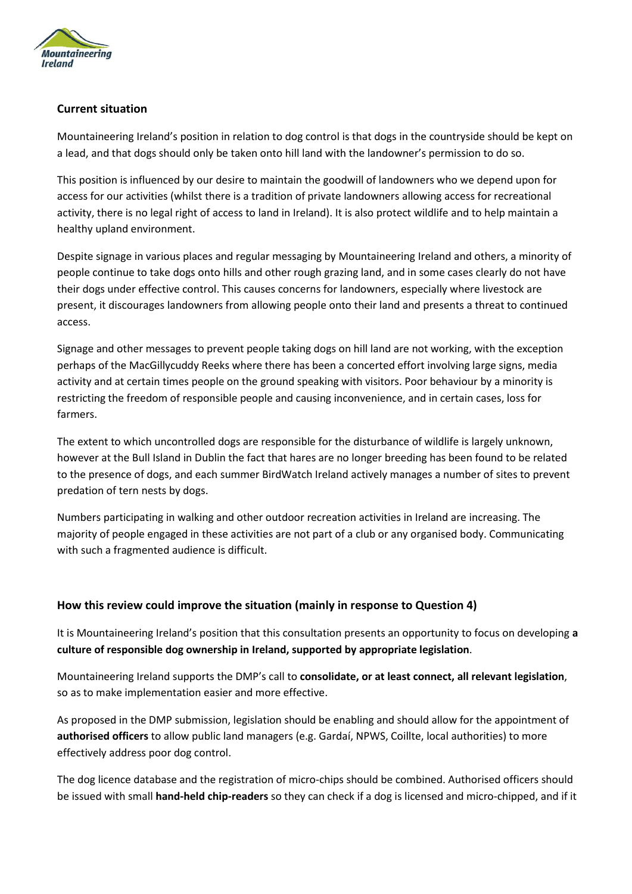

## **Current situation**

Mountaineering Ireland's position in relation to dog control is that dogs in the countryside should be kept on a lead, and that dogs should only be taken onto hill land with the landowner's permission to do so.

This position is influenced by our desire to maintain the goodwill of landowners who we depend upon for access for our activities (whilst there is a tradition of private landowners allowing access for recreational activity, there is no legal right of access to land in Ireland). It is also protect wildlife and to help maintain a healthy upland environment.

Despite signage in various places and regular messaging by Mountaineering Ireland and others, a minority of people continue to take dogs onto hills and other rough grazing land, and in some cases clearly do not have their dogs under effective control. This causes concerns for landowners, especially where livestock are present, it discourages landowners from allowing people onto their land and presents a threat to continued access.

Signage and other messages to prevent people taking dogs on hill land are not working, with the exception perhaps of the MacGillycuddy Reeks where there has been a concerted effort involving large signs, media activity and at certain times people on the ground speaking with visitors. Poor behaviour by a minority is restricting the freedom of responsible people and causing inconvenience, and in certain cases, loss for farmers.

The extent to which uncontrolled dogs are responsible for the disturbance of wildlife is largely unknown, however at the Bull Island in Dublin the fact that hares are no longer breeding has been found to be related to the presence of dogs, and each summer BirdWatch Ireland actively manages a number of sites to prevent predation of tern nests by dogs.

Numbers participating in walking and other outdoor recreation activities in Ireland are increasing. The majority of people engaged in these activities are not part of a club or any organised body. Communicating with such a fragmented audience is difficult.

### **How this review could improve the situation (mainly in response to Question 4)**

It is Mountaineering Ireland's position that this consultation presents an opportunity to focus on developing **a culture of responsible dog ownership in Ireland, supported by appropriate legislation**.

Mountaineering Ireland supports the DMP's call to **consolidate, or at least connect, all relevant legislation**, so as to make implementation easier and more effective.

As proposed in the DMP submission, legislation should be enabling and should allow for the appointment of **authorised officers** to allow public land managers (e.g. Gardaí, NPWS, Coillte, local authorities) to more effectively address poor dog control.

The dog licence database and the registration of micro-chips should be combined. Authorised officers should be issued with small **hand-held chip-readers** so they can check if a dog is licensed and micro-chipped, and if it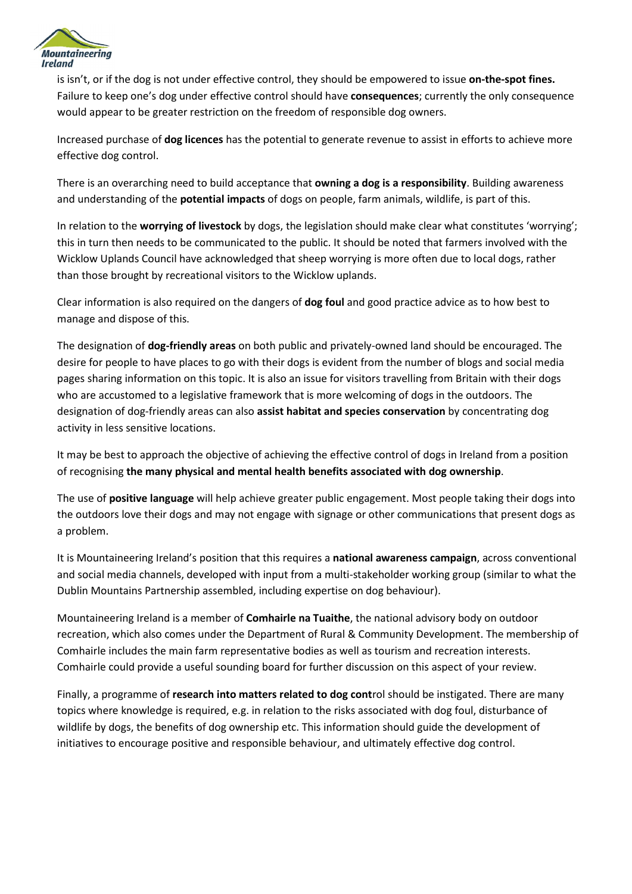

is isn't, or if the dog is not under effective control, they should be empowered to issue **on-the-spot fines.** Failure to keep one's dog under effective control should have **consequences**; currently the only consequence would appear to be greater restriction on the freedom of responsible dog owners.

Increased purchase of **dog licences** has the potential to generate revenue to assist in efforts to achieve more effective dog control.

There is an overarching need to build acceptance that **owning a dog is a responsibility**. Building awareness and understanding of the **potential impacts** of dogs on people, farm animals, wildlife, is part of this.

In relation to the **worrying of livestock** by dogs, the legislation should make clear what constitutes 'worrying'; this in turn then needs to be communicated to the public. It should be noted that farmers involved with the Wicklow Uplands Council have acknowledged that sheep worrying is more often due to local dogs, rather than those brought by recreational visitors to the Wicklow uplands.

Clear information is also required on the dangers of **dog foul** and good practice advice as to how best to manage and dispose of this.

The designation of **dog-friendly areas** on both public and privately-owned land should be encouraged. The desire for people to have places to go with their dogs is evident from the number of blogs and social media pages sharing information on this topic. It is also an issue for visitors travelling from Britain with their dogs who are accustomed to a legislative framework that is more welcoming of dogs in the outdoors. The designation of dog-friendly areas can also **assist habitat and species conservation** by concentrating dog activity in less sensitive locations.

It may be best to approach the objective of achieving the effective control of dogs in Ireland from a position of recognising **the many physical and mental health benefits associated with dog ownership**.

The use of **positive language** will help achieve greater public engagement. Most people taking their dogs into the outdoors love their dogs and may not engage with signage or other communications that present dogs as a problem.

It is Mountaineering Ireland's position that this requires a **national awareness campaign**, across conventional and social media channels, developed with input from a multi-stakeholder working group (similar to what the Dublin Mountains Partnership assembled, including expertise on dog behaviour).

Mountaineering Ireland is a member of **Comhairle na Tuaithe**, the national advisory body on outdoor recreation, which also comes under the Department of Rural & Community Development. The membership of Comhairle includes the main farm representative bodies as well as tourism and recreation interests. Comhairle could provide a useful sounding board for further discussion on this aspect of your review.

Finally, a programme of **research into matters related to dog cont**rol should be instigated. There are many topics where knowledge is required, e.g. in relation to the risks associated with dog foul, disturbance of wildlife by dogs, the benefits of dog ownership etc. This information should guide the development of initiatives to encourage positive and responsible behaviour, and ultimately effective dog control.